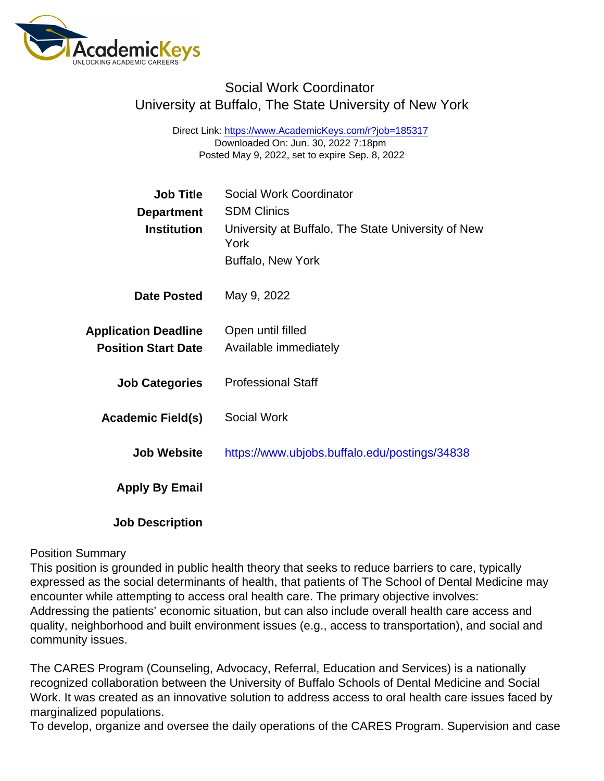# Social Work Coordinator University at Buffalo, The State University of New York

Direct Link: <https://www.AcademicKeys.com/r?job=185317> Downloaded On: Jun. 30, 2022 7:18pm Posted May 9, 2022, set to expire Sep. 8, 2022

| Job Title                   | Social Work Coordinator                                    |
|-----------------------------|------------------------------------------------------------|
| Department                  | <b>SDM Clinics</b>                                         |
| Institution                 | University at Buffalo, The State University of New<br>York |
|                             | <b>Buffalo, New York</b>                                   |
| Date Posted                 | May 9, 2022                                                |
| <b>Application Deadline</b> | Open until filled                                          |
| <b>Position Start Date</b>  | Available immediately                                      |
| <b>Job Categories</b>       | <b>Professional Staff</b>                                  |
| Academic Field(s)           | Social Work                                                |
| <b>Job Website</b>          | https://www.ubjobs.buffalo.edu/postings/34838              |
| Apply By Email              |                                                            |
| <b>Job Description</b>      |                                                            |

#### Position Summary

This position is grounded in public health theory that seeks to reduce barriers to care, typically expressed as the social determinants of health, that patients of The School of Dental Medicine may encounter while attempting to access oral health care. The primary objective involves: Addressing the patients' economic situation, but can also include overall health care access and quality, neighborhood and built environment issues (e.g., access to transportation), and social and community issues.

The CARES Program (Counseling, Advocacy, Referral, Education and Services) is a nationally recognized collaboration between the University of Buffalo Schools of Dental Medicine and Social Work. It was created as an innovative solution to address access to oral health care issues faced by marginalized populations.

To develop, organize and oversee the daily operations of the CARES Program. Supervision and case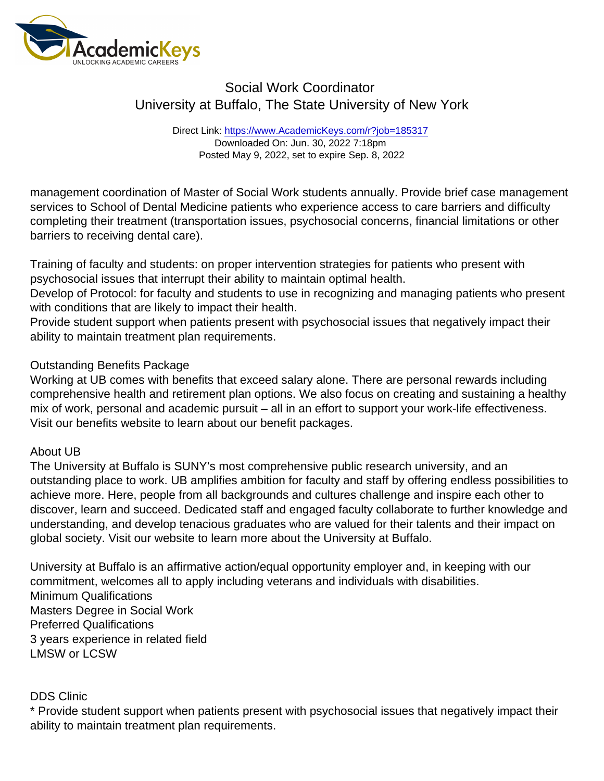## Social Work Coordinator University at Buffalo, The State University of New York

Direct Link: <https://www.AcademicKeys.com/r?job=185317> Downloaded On: Jun. 30, 2022 7:18pm Posted May 9, 2022, set to expire Sep. 8, 2022

management coordination of Master of Social Work students annually. Provide brief case management services to School of Dental Medicine patients who experience access to care barriers and difficulty completing their treatment (transportation issues, psychosocial concerns, financial limitations or other barriers to receiving dental care).

Training of faculty and students: on proper intervention strategies for patients who present with psychosocial issues that interrupt their ability to maintain optimal health.

Develop of Protocol: for faculty and students to use in recognizing and managing patients who present with conditions that are likely to impact their health.

Provide student support when patients present with psychosocial issues that negatively impact their ability to maintain treatment plan requirements.

### Outstanding Benefits Package

Working at UB comes with benefits that exceed salary alone. There are personal rewards including comprehensive health and retirement plan options. We also focus on creating and sustaining a healthy mix of work, personal and academic pursuit – all in an effort to support your work-life effectiveness. Visit our benefits website to learn about our benefit packages.

### About UB

The University at Buffalo is SUNY's most comprehensive public research university, and an outstanding place to work. UB amplifies ambition for faculty and staff by offering endless possibilities to achieve more. Here, people from all backgrounds and cultures challenge and inspire each other to discover, learn and succeed. Dedicated staff and engaged faculty collaborate to further knowledge and understanding, and develop tenacious graduates who are valued for their talents and their impact on global society. Visit our website to learn more about the University at Buffalo.

University at Buffalo is an affirmative action/equal opportunity employer and, in keeping with our commitment, welcomes all to apply including veterans and individuals with disabilities. Minimum Qualifications Masters Degree in Social Work Preferred Qualifications 3 years experience in related field LMSW or LCSW

### DDS Clinic

\* Provide student support when patients present with psychosocial issues that negatively impact their ability to maintain treatment plan requirements.